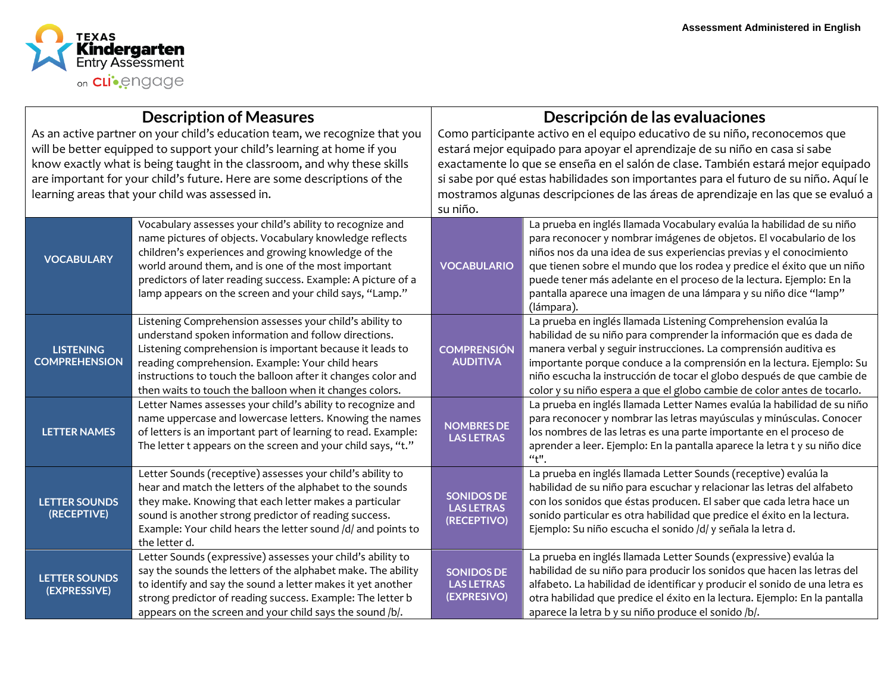

| <b>Description of Measures</b>                                             |                                                               | Descripción de las evaluaciones                                                      |                                                                                          |
|----------------------------------------------------------------------------|---------------------------------------------------------------|--------------------------------------------------------------------------------------|------------------------------------------------------------------------------------------|
| As an active partner on your child's education team, we recognize that you |                                                               | Como participante activo en el equipo educativo de su niño, reconocemos que          |                                                                                          |
| will be better equipped to support your child's learning at home if you    |                                                               | estará mejor equipado para apoyar el aprendizaje de su niño en casa si sabe          |                                                                                          |
| know exactly what is being taught in the classroom, and why these skills   |                                                               | exactamente lo que se enseña en el salón de clase. También estará mejor equipado     |                                                                                          |
| are important for your child's future. Here are some descriptions of the   |                                                               | si sabe por qué estas habilidades son importantes para el futuro de su niño. Aquí le |                                                                                          |
|                                                                            | learning areas that your child was assessed in.               | mostramos algunas descripciones de las áreas de aprendizaje en las que se evaluó a   |                                                                                          |
|                                                                            |                                                               | su niño.                                                                             |                                                                                          |
|                                                                            | Vocabulary assesses your child's ability to recognize and     |                                                                                      | La prueba en inglés llamada Vocabulary evalúa la habilidad de su niño                    |
|                                                                            | name pictures of objects. Vocabulary knowledge reflects       |                                                                                      | para reconocer y nombrar imágenes de objetos. El vocabulario de los                      |
| <b>VOCABULARY</b>                                                          | children's experiences and growing knowledge of the           |                                                                                      | niños nos da una idea de sus experiencias previas y el conocimiento                      |
|                                                                            | world around them, and is one of the most important           | <b>VOCABULARIO</b>                                                                   | que tienen sobre el mundo que los rodea y predice el éxito que un niño                   |
|                                                                            | predictors of later reading success. Example: A picture of a  |                                                                                      | puede tener más adelante en el proceso de la lectura. Ejemplo: En la                     |
|                                                                            | lamp appears on the screen and your child says, "Lamp."       |                                                                                      | pantalla aparece una imagen de una lámpara y su niño dice "lamp"                         |
|                                                                            |                                                               |                                                                                      | (lámpara).                                                                               |
|                                                                            | Listening Comprehension assesses your child's ability to      | <b>COMPRENSIÓN</b><br><b>AUDITIVA</b>                                                | La prueba en inglés llamada Listening Comprehension evalúa la                            |
|                                                                            | understand spoken information and follow directions.          |                                                                                      | habilidad de su niño para comprender la información que es dada de                       |
| <b>LISTENING</b>                                                           | Listening comprehension is important because it leads to      |                                                                                      | manera verbal y seguir instrucciones. La comprensión auditiva es                         |
| <b>COMPREHENSION</b>                                                       | reading comprehension. Example: Your child hears              |                                                                                      | importante porque conduce a la comprensión en la lectura. Ejemplo: Su                    |
|                                                                            | instructions to touch the balloon after it changes color and  |                                                                                      | niño escucha la instrucción de tocar el globo después de que cambie de                   |
|                                                                            | then waits to touch the balloon when it changes colors.       |                                                                                      | color y su niño espera a que el globo cambie de color antes de tocarlo.                  |
|                                                                            | Letter Names assesses your child's ability to recognize and   | <b>NOMBRES DE</b><br><b>LAS LETRAS</b>                                               | La prueba en inglés llamada Letter Names evalúa la habilidad de su niño                  |
|                                                                            | name uppercase and lowercase letters. Knowing the names       |                                                                                      | para reconocer y nombrar las letras mayúsculas y minúsculas. Conocer                     |
| <b>LETTER NAMES</b>                                                        | of letters is an important part of learning to read. Example: |                                                                                      | los nombres de las letras es una parte importante en el proceso de                       |
|                                                                            | The letter t appears on the screen and your child says, "t."  |                                                                                      | aprender a leer. Ejemplo: En la pantalla aparece la letra t y su niño dice<br>$a_{t}$ ". |
|                                                                            | Letter Sounds (receptive) assesses your child's ability to    |                                                                                      | La prueba en inglés llamada Letter Sounds (receptive) evalúa la                          |
|                                                                            | hear and match the letters of the alphabet to the sounds      | <b>SONIDOS DE</b><br><b>LAS LETRAS</b><br>(RECEPTIVO)                                | habilidad de su niño para escuchar y relacionar las letras del alfabeto                  |
| <b>LETTER SOUNDS</b>                                                       | they make. Knowing that each letter makes a particular        |                                                                                      | con los sonidos que éstas producen. El saber que cada letra hace un                      |
| (RECEPTIVE)                                                                | sound is another strong predictor of reading success.         |                                                                                      | sonido particular es otra habilidad que predice el éxito en la lectura.                  |
|                                                                            | Example: Your child hears the letter sound /d/ and points to  |                                                                                      | Ejemplo: Su niño escucha el sonido /d/ y señala la letra d.                              |
|                                                                            | the letter d.                                                 |                                                                                      |                                                                                          |
| <b>LETTER SOUNDS</b><br>(EXPRESSIVE)                                       | Letter Sounds (expressive) assesses your child's ability to   |                                                                                      | La prueba en inglés llamada Letter Sounds (expressive) evalúa la                         |
|                                                                            | say the sounds the letters of the alphabet make. The ability  | <b>SONIDOS DE</b>                                                                    | habilidad de su niño para producir los sonidos que hacen las letras del                  |
|                                                                            | to identify and say the sound a letter makes it yet another   | <b>LAS LETRAS</b>                                                                    | alfabeto. La habilidad de identificar y producir el sonido de una letra es               |
|                                                                            | strong predictor of reading success. Example: The letter b    | (EXPRESIVO)                                                                          | otra habilidad que predice el éxito en la lectura. Ejemplo: En la pantalla               |
|                                                                            | appears on the screen and your child says the sound /b/.      |                                                                                      | aparece la letra b y su niño produce el sonido /b/.                                      |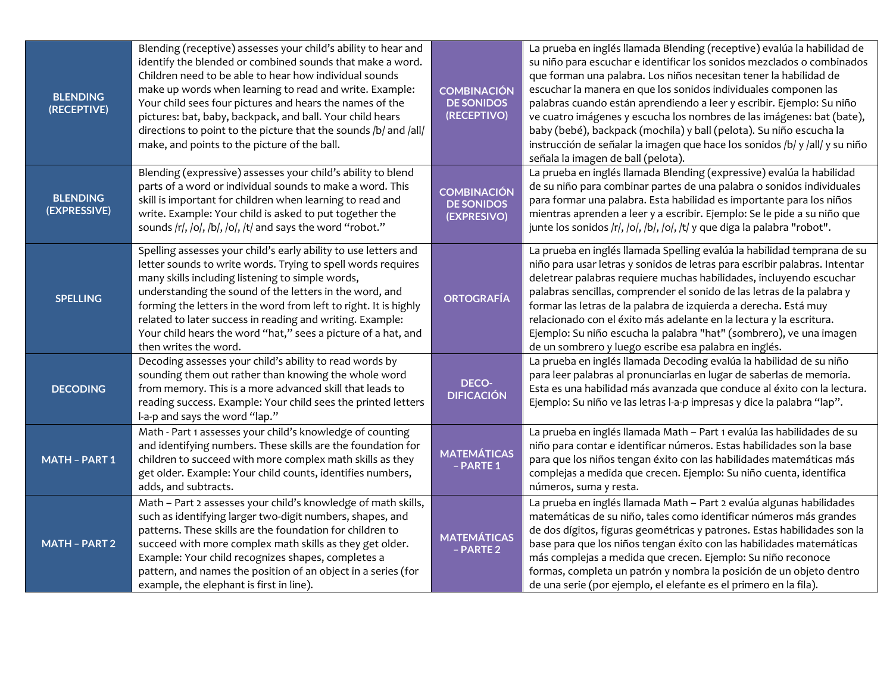| <b>BLENDING</b><br>(RECEPTIVE)  | Blending (receptive) assesses your child's ability to hear and<br>identify the blended or combined sounds that make a word.<br>Children need to be able to hear how individual sounds<br>make up words when learning to read and write. Example:<br>Your child sees four pictures and hears the names of the<br>pictures: bat, baby, backpack, and ball. Your child hears<br>directions to point to the picture that the sounds /b/ and /all/<br>make, and points to the picture of the ball. | <b>COMBINACIÓN</b><br><b>DE SONIDOS</b><br>(RECEPTIVO) | La prueba en inglés llamada Blending (receptive) evalúa la habilidad de<br>su niño para escuchar e identificar los sonidos mezclados o combinados<br>que forman una palabra. Los niños necesitan tener la habilidad de<br>escuchar la manera en que los sonidos individuales componen las<br>palabras cuando están aprendiendo a leer y escribir. Ejemplo: Su niño<br>ve cuatro imágenes y escucha los nombres de las imágenes: bat (bate),<br>baby (bebé), backpack (mochila) y ball (pelota). Su niño escucha la<br>instrucción de señalar la imagen que hace los sonidos /b/ y /all/ y su niño<br>señala la imagen de ball (pelota). |
|---------------------------------|-----------------------------------------------------------------------------------------------------------------------------------------------------------------------------------------------------------------------------------------------------------------------------------------------------------------------------------------------------------------------------------------------------------------------------------------------------------------------------------------------|--------------------------------------------------------|-----------------------------------------------------------------------------------------------------------------------------------------------------------------------------------------------------------------------------------------------------------------------------------------------------------------------------------------------------------------------------------------------------------------------------------------------------------------------------------------------------------------------------------------------------------------------------------------------------------------------------------------|
| <b>BLENDING</b><br>(EXPRESSIVE) | Blending (expressive) assesses your child's ability to blend<br>parts of a word or individual sounds to make a word. This<br>skill is important for children when learning to read and<br>write. Example: Your child is asked to put together the<br>sounds /r/, /o/, /b/, /o/, /t/ and says the word "robot."                                                                                                                                                                                | <b>COMBINACIÓN</b><br><b>DE SONIDOS</b><br>(EXPRESIVO) | La prueba en inglés llamada Blending (expressive) evalúa la habilidad<br>de su niño para combinar partes de una palabra o sonidos individuales<br>para formar una palabra. Esta habilidad es importante para los niños<br>mientras aprenden a leer y a escribir. Ejemplo: Se le pide a su niño que<br>junte los sonidos /r/, /o/, /b/, /o/, /t/ y que diga la palabra "robot".                                                                                                                                                                                                                                                          |
| <b>SPELLING</b>                 | Spelling assesses your child's early ability to use letters and<br>letter sounds to write words. Trying to spell words requires<br>many skills including listening to simple words,<br>understanding the sound of the letters in the word, and<br>forming the letters in the word from left to right. It is highly<br>related to later success in reading and writing. Example:<br>Your child hears the word "hat," sees a picture of a hat, and<br>then writes the word.                     | <b>ORTOGRAFÍA</b>                                      | La prueba en inglés llamada Spelling evalúa la habilidad temprana de su<br>niño para usar letras y sonidos de letras para escribir palabras. Intentar<br>deletrear palabras requiere muchas habilidades, incluyendo escuchar<br>palabras sencillas, comprender el sonido de las letras de la palabra y<br>formar las letras de la palabra de izquierda a derecha. Está muy<br>relacionado con el éxito más adelante en la lectura y la escritura.<br>Ejemplo: Su niño escucha la palabra "hat" (sombrero), ve una imagen<br>de un sombrero y luego escribe esa palabra en inglés.                                                       |
| <b>DECODING</b>                 | Decoding assesses your child's ability to read words by<br>sounding them out rather than knowing the whole word<br>from memory. This is a more advanced skill that leads to<br>reading success. Example: Your child sees the printed letters<br>l-a-p and says the word "lap."                                                                                                                                                                                                                | <b>DECO-</b><br><b>DIFICACIÓN</b>                      | La prueba en inglés llamada Decoding evalúa la habilidad de su niño<br>para leer palabras al pronunciarlas en lugar de saberlas de memoria.<br>Esta es una habilidad más avanzada que conduce al éxito con la lectura.<br>Ejemplo: Su niño ve las letras l-a-p impresas y dice la palabra "lap".                                                                                                                                                                                                                                                                                                                                        |
| <b>MATH - PART 1</b>            | Math - Part 1 assesses your child's knowledge of counting<br>and identifying numbers. These skills are the foundation for<br>children to succeed with more complex math skills as they<br>get older. Example: Your child counts, identifies numbers,<br>adds, and subtracts.                                                                                                                                                                                                                  | <b>MATEMÁTICAS</b><br>- PARTE 1                        | La prueba en inglés llamada Math - Part 1 evalúa las habilidades de su<br>niño para contar e identificar números. Estas habilidades son la base<br>para que los niños tengan éxito con las habilidades matemáticas más<br>complejas a medida que crecen. Ejemplo: Su niño cuenta, identifica<br>números, suma y resta.                                                                                                                                                                                                                                                                                                                  |
| <b>MATH - PART 2</b>            | Math - Part 2 assesses your child's knowledge of math skills,<br>such as identifying larger two-digit numbers, shapes, and<br>patterns. These skills are the foundation for children to<br>succeed with more complex math skills as they get older.<br>Example: Your child recognizes shapes, completes a<br>pattern, and names the position of an object in a series (for<br>example, the elephant is first in line).                                                                        | <b>MATEMÁTICAS</b><br>$-$ PARTE 2                      | La prueba en inglés llamada Math - Part 2 evalúa algunas habilidades<br>matemáticas de su niño, tales como identificar números más grandes<br>de dos dígitos, figuras geométricas y patrones. Estas habilidades son la<br>base para que los niños tengan éxito con las habilidades matemáticas<br>más complejas a medida que crecen. Ejemplo: Su niño reconoce<br>formas, completa un patrón y nombra la posición de un objeto dentro<br>de una serie (por ejemplo, el elefante es el primero en la fila).                                                                                                                              |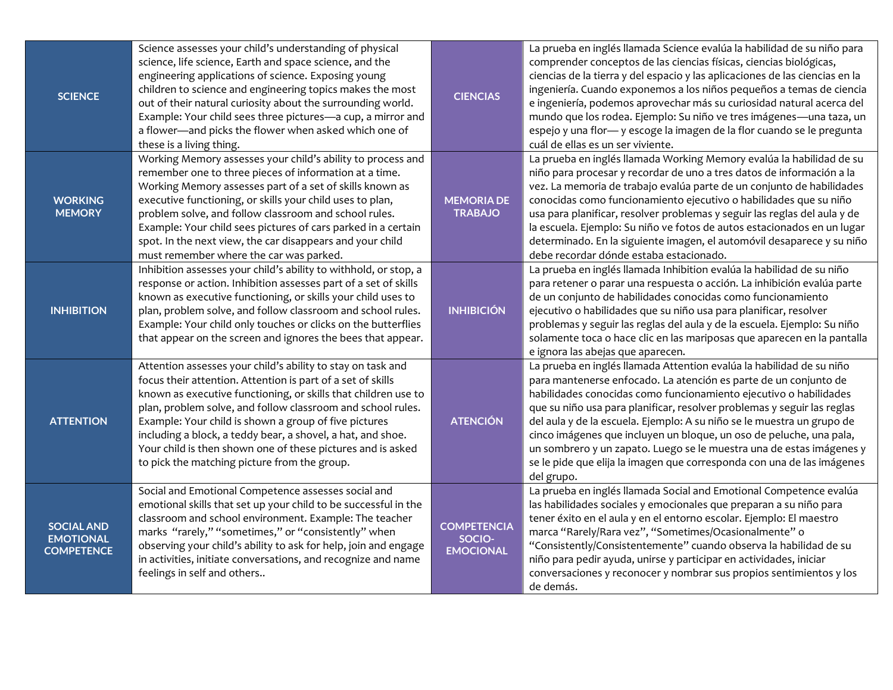| <b>SCIENCE</b>                                             | Science assesses your child's understanding of physical<br>science, life science, Earth and space science, and the<br>engineering applications of science. Exposing young<br>children to science and engineering topics makes the most<br>out of their natural curiosity about the surrounding world.<br>Example: Your child sees three pictures-a cup, a mirror and<br>a flower-and picks the flower when asked which one of<br>these is a living thing.                                          | <b>CIENCIAS</b>                                  | La prueba en inglés llamada Science evalúa la habilidad de su niño para<br>comprender conceptos de las ciencias físicas, ciencias biológicas,<br>ciencias de la tierra y del espacio y las aplicaciones de las ciencias en la<br>ingeniería. Cuando exponemos a los niños pequeños a temas de ciencia<br>e ingeniería, podemos aprovechar más su curiosidad natural acerca del<br>mundo que los rodea. Ejemplo: Su niño ve tres imágenes—una taza, un<br>espejo y una flor- y escoge la imagen de la flor cuando se le pregunta<br>cuál de ellas es un ser viviente.                                      |
|------------------------------------------------------------|----------------------------------------------------------------------------------------------------------------------------------------------------------------------------------------------------------------------------------------------------------------------------------------------------------------------------------------------------------------------------------------------------------------------------------------------------------------------------------------------------|--------------------------------------------------|-----------------------------------------------------------------------------------------------------------------------------------------------------------------------------------------------------------------------------------------------------------------------------------------------------------------------------------------------------------------------------------------------------------------------------------------------------------------------------------------------------------------------------------------------------------------------------------------------------------|
| <b>WORKING</b><br><b>MEMORY</b>                            | Working Memory assesses your child's ability to process and<br>remember one to three pieces of information at a time.<br>Working Memory assesses part of a set of skills known as<br>executive functioning, or skills your child uses to plan,<br>problem solve, and follow classroom and school rules.<br>Example: Your child sees pictures of cars parked in a certain<br>spot. In the next view, the car disappears and your child<br>must remember where the car was parked.                   | <b>MEMORIA DE</b><br><b>TRABAJO</b>              | La prueba en inglés llamada Working Memory evalúa la habilidad de su<br>niño para procesar y recordar de uno a tres datos de información a la<br>vez. La memoria de trabajo evalúa parte de un conjunto de habilidades<br>conocidas como funcionamiento ejecutivo o habilidades que su niño<br>usa para planificar, resolver problemas y seguir las reglas del aula y de<br>la escuela. Ejemplo: Su niño ve fotos de autos estacionados en un lugar<br>determinado. En la siguiente imagen, el automóvil desaparece y su niño<br>debe recordar dónde estaba estacionado.                                  |
| <b>INHIBITION</b>                                          | Inhibition assesses your child's ability to withhold, or stop, a<br>response or action. Inhibition assesses part of a set of skills<br>known as executive functioning, or skills your child uses to<br>plan, problem solve, and follow classroom and school rules.<br>Example: Your child only touches or clicks on the butterflies<br>that appear on the screen and ignores the bees that appear.                                                                                                 | <b>INHIBICIÓN</b>                                | La prueba en inglés llamada Inhibition evalúa la habilidad de su niño<br>para retener o parar una respuesta o acción. La inhibición evalúa parte<br>de un conjunto de habilidades conocidas como funcionamiento<br>ejecutivo o habilidades que su niño usa para planificar, resolver<br>problemas y seguir las reglas del aula y de la escuela. Ejemplo: Su niño<br>solamente toca o hace clic en las mariposas que aparecen en la pantalla<br>e ignora las abejas que aparecen.                                                                                                                          |
| <b>ATTENTION</b>                                           | Attention assesses your child's ability to stay on task and<br>focus their attention. Attention is part of a set of skills<br>known as executive functioning, or skills that children use to<br>plan, problem solve, and follow classroom and school rules.<br>Example: Your child is shown a group of five pictures<br>including a block, a teddy bear, a shovel, a hat, and shoe.<br>Your child is then shown one of these pictures and is asked<br>to pick the matching picture from the group. | <b>ATENCIÓN</b>                                  | La prueba en inglés llamada Attention evalúa la habilidad de su niño<br>para mantenerse enfocado. La atención es parte de un conjunto de<br>habilidades conocidas como funcionamiento ejecutivo o habilidades<br>que su niño usa para planificar, resolver problemas y seguir las reglas<br>del aula y de la escuela. Ejemplo: A su niño se le muestra un grupo de<br>cinco imágenes que incluyen un bloque, un oso de peluche, una pala,<br>un sombrero y un zapato. Luego se le muestra una de estas imágenes y<br>se le pide que elija la imagen que corresponda con una de las imágenes<br>del grupo. |
| <b>SOCIAL AND</b><br><b>EMOTIONAL</b><br><b>COMPETENCE</b> | Social and Emotional Competence assesses social and<br>emotional skills that set up your child to be successful in the<br>classroom and school environment. Example: The teacher<br>marks "rarely," "sometimes," or "consistently" when<br>observing your child's ability to ask for help, join and engage<br>in activities, initiate conversations, and recognize and name<br>feelings in self and others                                                                                         | <b>COMPETENCIA</b><br>SOCIO-<br><b>EMOCIONAL</b> | La prueba en inglés llamada Social and Emotional Competence evalúa<br>las habilidades sociales y emocionales que preparan a su niño para<br>tener éxito en el aula y en el entorno escolar. Ejemplo: El maestro<br>marca "Rarely/Rara vez", "Sometimes/Ocasionalmente" o<br>"Consistently/Consistentemente" cuando observa la habilidad de su<br>niño para pedir ayuda, unirse y participar en actividades, iniciar<br>conversaciones y reconocer y nombrar sus propios sentimientos y los<br>de demás.                                                                                                   |